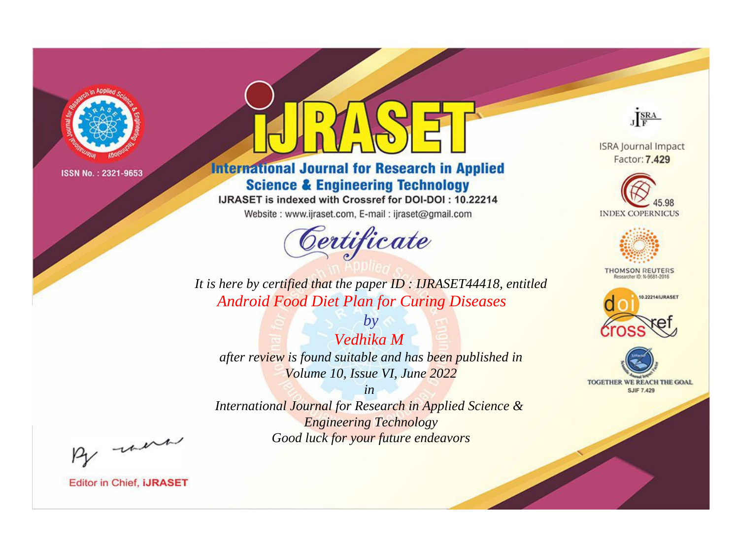

# **International Journal for Research in Applied Science & Engineering Technology**

IJRASET is indexed with Crossref for DOI-DOI: 10.22214

Website: www.ijraset.com, E-mail: ijraset@gmail.com



JERA

**ISRA Journal Impact** Factor: 7.429





**THOMSON REUTERS** 



TOGETHER WE REACH THE GOAL **SJIF 7.429** 

*It is here by certified that the paper ID : IJRASET44418, entitled Android Food Diet Plan for Curing Diseases*

*by Vedhika M after review is found suitable and has been published in Volume 10, Issue VI, June 2022*

*in* 

*International Journal for Research in Applied Science & Engineering Technology Good luck for your future endeavors*

By morn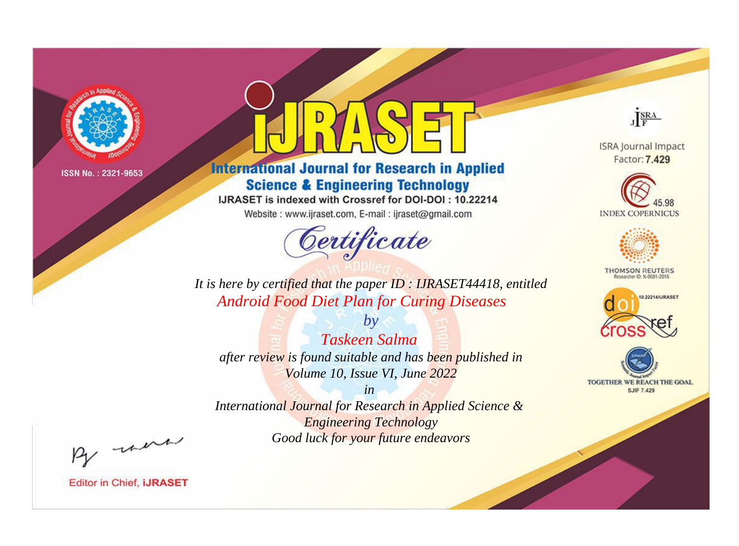

# **International Journal for Research in Applied Science & Engineering Technology**

IJRASET is indexed with Crossref for DOI-DOI: 10.22214

Website: www.ijraset.com, E-mail: ijraset@gmail.com



JERA

**ISRA Journal Impact** Factor: 7.429





**THOMSON REUTERS** 



TOGETHER WE REACH THE GOAL **SJIF 7.429** 

*It is here by certified that the paper ID : IJRASET44418, entitled Android Food Diet Plan for Curing Diseases*

*Taskeen Salma after review is found suitable and has been published in Volume 10, Issue VI, June 2022*

*by*

*in* 

*International Journal for Research in Applied Science & Engineering Technology Good luck for your future endeavors*

By morn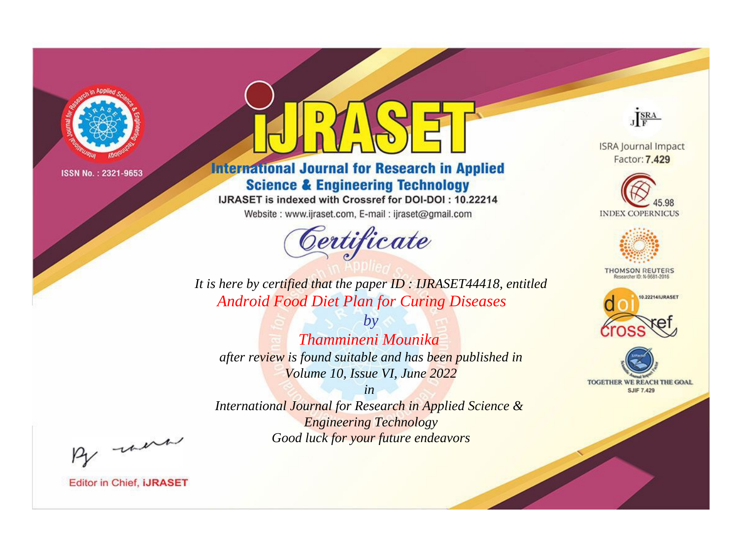

# **International Journal for Research in Applied Science & Engineering Technology**

IJRASET is indexed with Crossref for DOI-DOI: 10.22214

Website: www.ijraset.com, E-mail: ijraset@gmail.com



JERA

**ISRA Journal Impact** Factor: 7.429





**THOMSON REUTERS** 



TOGETHER WE REACH THE GOAL **SJIF 7.429** 

*It is here by certified that the paper ID : IJRASET44418, entitled Android Food Diet Plan for Curing Diseases*

*by Thammineni Mounika after review is found suitable and has been published in Volume 10, Issue VI, June 2022*

*in* 

*International Journal for Research in Applied Science & Engineering Technology Good luck for your future endeavors*

By morn